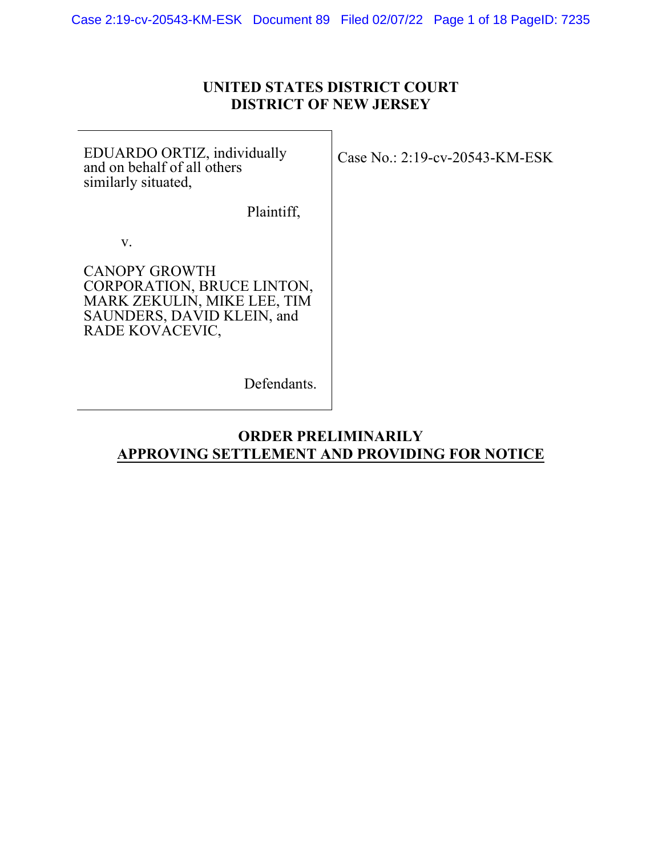## **UNITED STATES DISTRICT COURT DISTRICT OF NEW JERSEY**

EDUARDO ORTIZ, individually and on behalf of all others similarly situated,

Plaintiff,

v.

CANOPY GROWTH CORPORATION, BRUCE LINTON, MARK ZEKULIN, MIKE LEE, TIM SAUNDERS, DAVID KLEIN, and RADE KOVACEVIC,

Case No.: 2:19-cv-20543-KM-ESK

Defendants.

## **ORDER PRELIMINARILY APPROVING SETTLEMENT AND PROVIDING FOR NOTICE**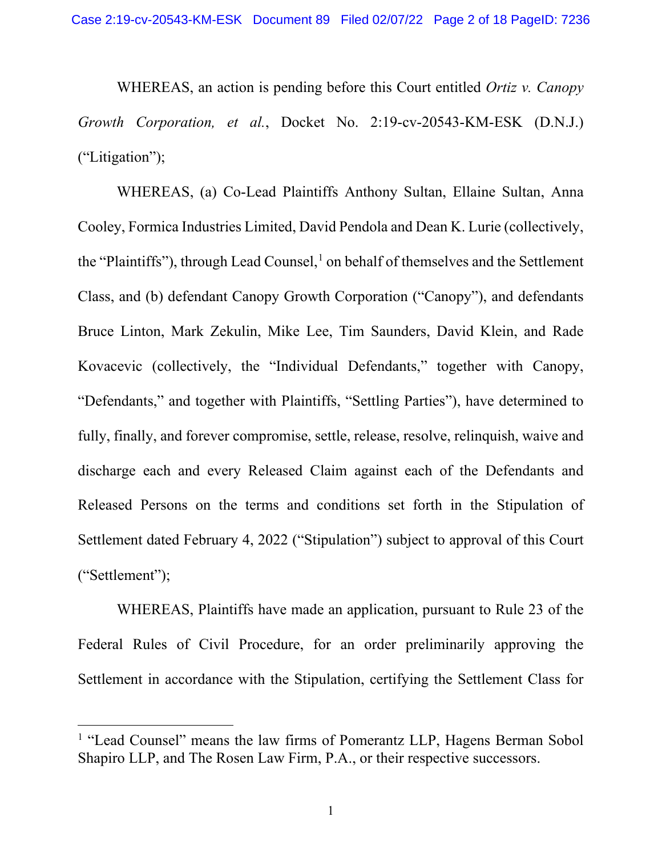WHEREAS, an action is pending before this Court entitled *Ortiz v. Canopy Growth Corporation, et al.*, Docket No. 2:19-cv-20543-KM-ESK (D.N.J.) ("Litigation");

WHEREAS, (a) Co-Lead Plaintiffs Anthony Sultan, Ellaine Sultan, Anna Cooley, Formica Industries Limited, David Pendola and Dean K. Lurie (collectively, the "Plaintiffs"), through Lead Counsel, $<sup>1</sup>$  $<sup>1</sup>$  $<sup>1</sup>$  on behalf of themselves and the Settlement</sup> Class, and (b) defendant Canopy Growth Corporation ("Canopy"), and defendants Bruce Linton, Mark Zekulin, Mike Lee, Tim Saunders, David Klein, and Rade Kovacevic (collectively, the "Individual Defendants," together with Canopy, "Defendants," and together with Plaintiffs, "Settling Parties"), have determined to fully, finally, and forever compromise, settle, release, resolve, relinquish, waive and discharge each and every Released Claim against each of the Defendants and Released Persons on the terms and conditions set forth in the Stipulation of Settlement dated February 4, 2022 ("Stipulation") subject to approval of this Court ("Settlement");

WHEREAS, Plaintiffs have made an application, pursuant to Rule 23 of the Federal Rules of Civil Procedure, for an order preliminarily approving the Settlement in accordance with the Stipulation, certifying the Settlement Class for

<span id="page-1-0"></span><sup>&</sup>lt;sup>1</sup> "Lead Counsel" means the law firms of Pomerantz LLP, Hagens Berman Sobol Shapiro LLP, and The Rosen Law Firm, P.A., or their respective successors.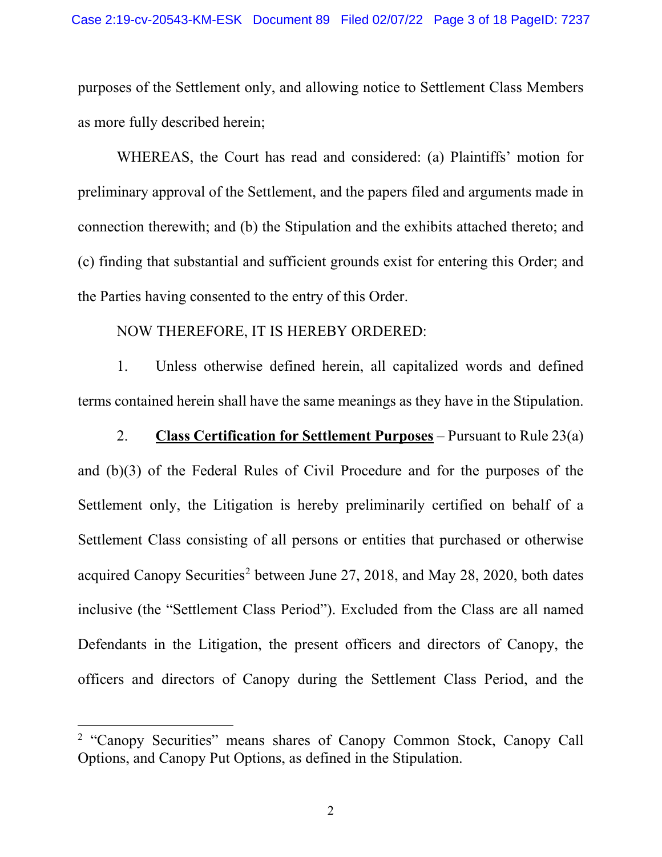purposes of the Settlement only, and allowing notice to Settlement Class Members as more fully described herein;

WHEREAS, the Court has read and considered: (a) Plaintiffs' motion for preliminary approval of the Settlement, and the papers filed and arguments made in connection therewith; and (b) the Stipulation and the exhibits attached thereto; and (c) finding that substantial and sufficient grounds exist for entering this Order; and the Parties having consented to the entry of this Order.

NOW THEREFORE, IT IS HEREBY ORDERED:

1. Unless otherwise defined herein, all capitalized words and defined terms contained herein shall have the same meanings as they have in the Stipulation.

2. **Class Certification for Settlement Purposes** – Pursuant to Rule 23(a) and (b)(3) of the Federal Rules of Civil Procedure and for the purposes of the Settlement only, the Litigation is hereby preliminarily certified on behalf of a Settlement Class consisting of all persons or entities that purchased or otherwise acquired Canopy Securities<sup>[2](#page-2-0)</sup> between June 27, 2018, and May 28, 2020, both dates inclusive (the "Settlement Class Period"). Excluded from the Class are all named Defendants in the Litigation, the present officers and directors of Canopy, the officers and directors of Canopy during the Settlement Class Period, and the

<span id="page-2-0"></span><sup>2</sup> "Canopy Securities" means shares of Canopy Common Stock, Canopy Call Options, and Canopy Put Options, as defined in the Stipulation.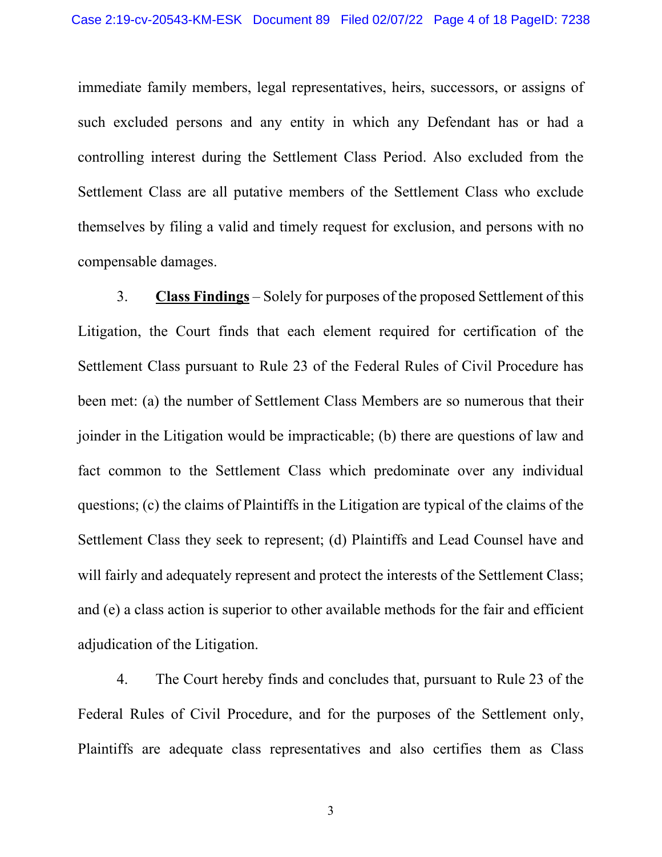immediate family members, legal representatives, heirs, successors, or assigns of such excluded persons and any entity in which any Defendant has or had a controlling interest during the Settlement Class Period. Also excluded from the Settlement Class are all putative members of the Settlement Class who exclude themselves by filing a valid and timely request for exclusion, and persons with no compensable damages.

3. **Class Findings** – Solely for purposes of the proposed Settlement of this Litigation, the Court finds that each element required for certification of the Settlement Class pursuant to Rule 23 of the Federal Rules of Civil Procedure has been met: (a) the number of Settlement Class Members are so numerous that their joinder in the Litigation would be impracticable; (b) there are questions of law and fact common to the Settlement Class which predominate over any individual questions; (c) the claims of Plaintiffs in the Litigation are typical of the claims of the Settlement Class they seek to represent; (d) Plaintiffs and Lead Counsel have and will fairly and adequately represent and protect the interests of the Settlement Class; and (e) a class action is superior to other available methods for the fair and efficient adjudication of the Litigation.

4. The Court hereby finds and concludes that, pursuant to Rule 23 of the Federal Rules of Civil Procedure, and for the purposes of the Settlement only, Plaintiffs are adequate class representatives and also certifies them as Class

3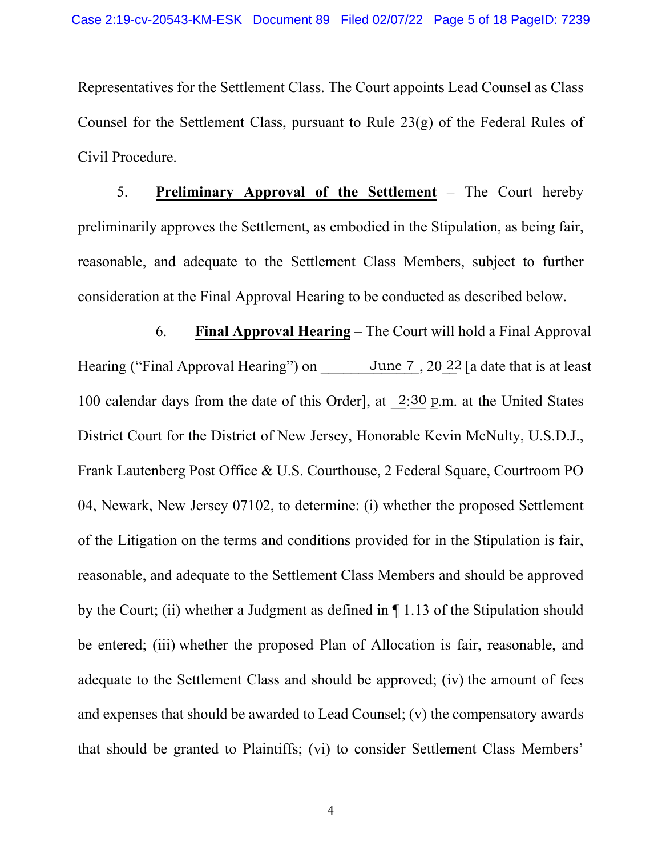Representatives for the Settlement Class. The Court appoints Lead Counsel as Class Counsel for the Settlement Class, pursuant to Rule 23(g) of the Federal Rules of Civil Procedure.

5. **Preliminary Approval of the Settlement** – The Court hereby preliminarily approves the Settlement, as embodied in the Stipulation, as being fair, reasonable, and adequate to the Settlement Class Members, subject to further consideration at the Final Approval Hearing to be conducted as described below.

6. **Final Approval Hearing** – The Court will hold a Final Approval Hearing ("Final Approval Hearing") on June 7, 20 22 [a date that is at least 100 calendar days from the date of this Order], at  $2:30$  p.m. at the United States District Court for the District of New Jersey, Honorable Kevin McNulty, U.S.D.J., Frank Lautenberg Post Office & U.S. Courthouse, 2 Federal Square, Courtroom PO 04, Newark, New Jersey 07102, to determine: (i) whether the proposed Settlement of the Litigation on the terms and conditions provided for in the Stipulation is fair, reasonable, and adequate to the Settlement Class Members and should be approved by the Court; (ii) whether a Judgment as defined in ¶ 1.13 of the Stipulation should be entered; (iii) whether the proposed Plan of Allocation is fair, reasonable, and adequate to the Settlement Class and should be approved; (iv) the amount of fees and expenses that should be awarded to Lead Counsel; (v) the compensatory awards that should be granted to Plaintiffs; (vi) to consider Settlement Class Members'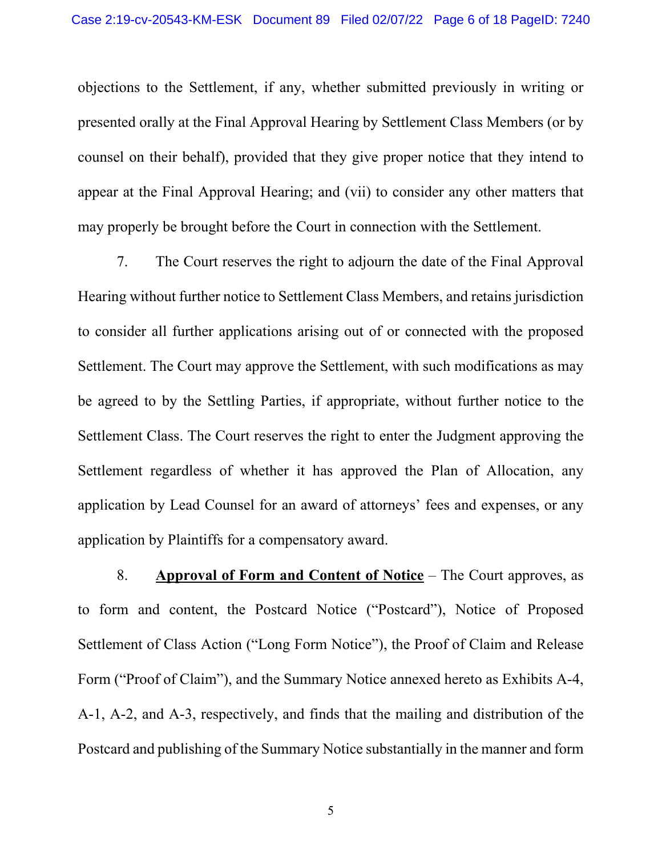objections to the Settlement, if any, whether submitted previously in writing or presented orally at the Final Approval Hearing by Settlement Class Members (or by counsel on their behalf), provided that they give proper notice that they intend to appear at the Final Approval Hearing; and (vii) to consider any other matters that may properly be brought before the Court in connection with the Settlement.

7. The Court reserves the right to adjourn the date of the Final Approval Hearing without further notice to Settlement Class Members, and retains jurisdiction to consider all further applications arising out of or connected with the proposed Settlement. The Court may approve the Settlement, with such modifications as may be agreed to by the Settling Parties, if appropriate, without further notice to the Settlement Class. The Court reserves the right to enter the Judgment approving the Settlement regardless of whether it has approved the Plan of Allocation, any application by Lead Counsel for an award of attorneys' fees and expenses, or any application by Plaintiffs for a compensatory award.

8. **Approval of Form and Content of Notice** – The Court approves, as to form and content, the Postcard Notice ("Postcard"), Notice of Proposed Settlement of Class Action ("Long Form Notice"), the Proof of Claim and Release Form ("Proof of Claim"), and the Summary Notice annexed hereto as Exhibits A-4, A-1, A-2, and A-3, respectively, and finds that the mailing and distribution of the Postcard and publishing of the Summary Notice substantially in the manner and form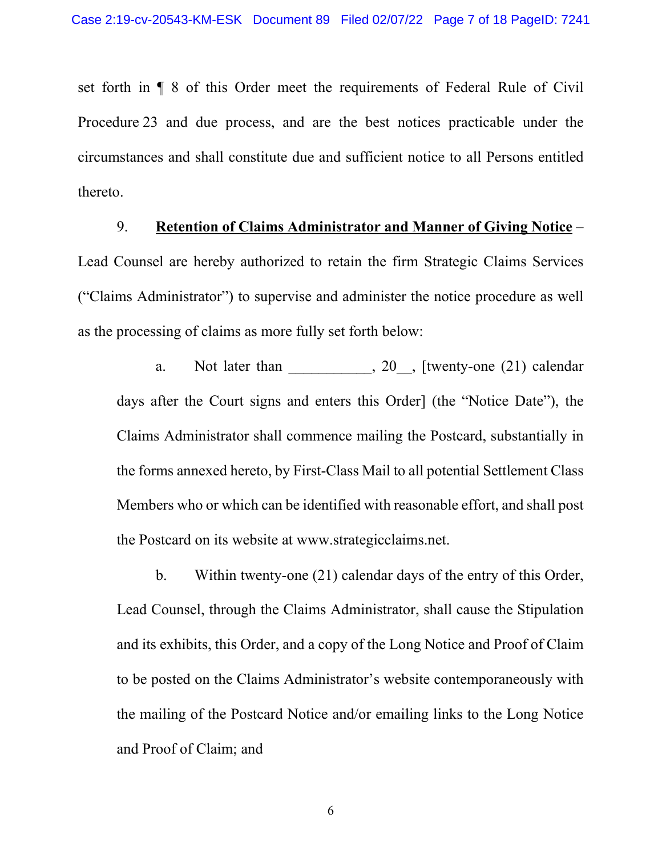set forth in ¶ 8 of this Order meet the requirements of Federal Rule of Civil Procedure 23 and due process, and are the best notices practicable under the circumstances and shall constitute due and sufficient notice to all Persons entitled thereto.

## 9. **Retention of Claims Administrator and Manner of Giving Notice** –

Lead Counsel are hereby authorized to retain the firm Strategic Claims Services ("Claims Administrator") to supervise and administer the notice procedure as well as the processing of claims as more fully set forth below:

a. Not later than  $\qquad \qquad 20 \qquad$ , [twenty-one (21) calendar days after the Court signs and enters this Order] (the "Notice Date"), the Claims Administrator shall commence mailing the Postcard, substantially in the forms annexed hereto, by First-Class Mail to all potential Settlement Class Members who or which can be identified with reasonable effort, and shall post the Postcard on its website at www.strategicclaims.net.

b. Within twenty-one (21) calendar days of the entry of this Order, Lead Counsel, through the Claims Administrator, shall cause the Stipulation and its exhibits, this Order, and a copy of the Long Notice and Proof of Claim to be posted on the Claims Administrator's website contemporaneously with the mailing of the Postcard Notice and/or emailing links to the Long Notice and Proof of Claim; and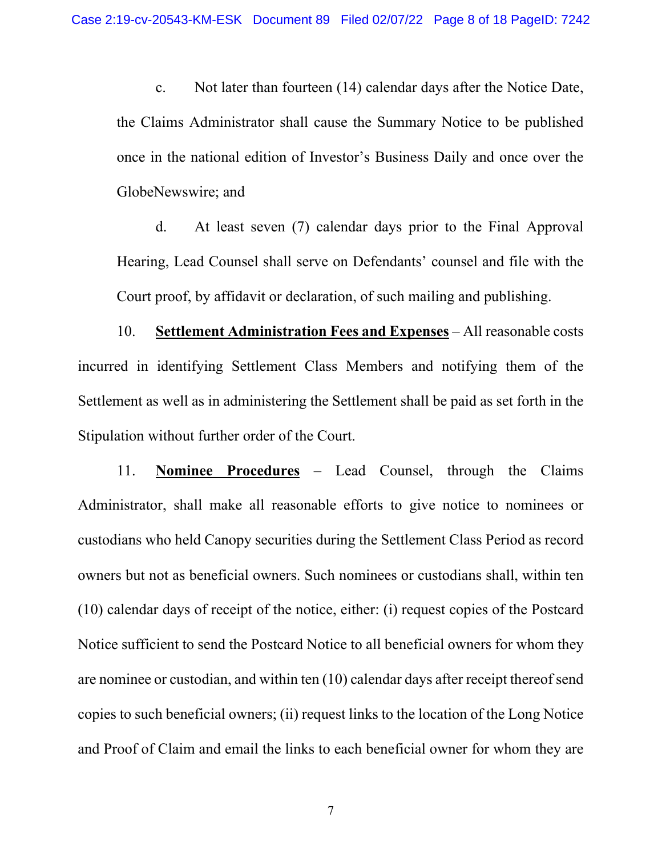c. Not later than fourteen (14) calendar days after the Notice Date, the Claims Administrator shall cause the Summary Notice to be published once in the national edition of Investor's Business Daily and once over the GlobeNewswire; and

d. At least seven (7) calendar days prior to the Final Approval Hearing, Lead Counsel shall serve on Defendants' counsel and file with the Court proof, by affidavit or declaration, of such mailing and publishing.

10. **Settlement Administration Fees and Expenses** – All reasonable costs incurred in identifying Settlement Class Members and notifying them of the Settlement as well as in administering the Settlement shall be paid as set forth in the Stipulation without further order of the Court.

11. **Nominee Procedures** – Lead Counsel, through the Claims Administrator, shall make all reasonable efforts to give notice to nominees or custodians who held Canopy securities during the Settlement Class Period as record owners but not as beneficial owners. Such nominees or custodians shall, within ten (10) calendar days of receipt of the notice, either: (i) request copies of the Postcard Notice sufficient to send the Postcard Notice to all beneficial owners for whom they are nominee or custodian, and within ten (10) calendar days after receipt thereof send copies to such beneficial owners; (ii) request links to the location of the Long Notice and Proof of Claim and email the links to each beneficial owner for whom they are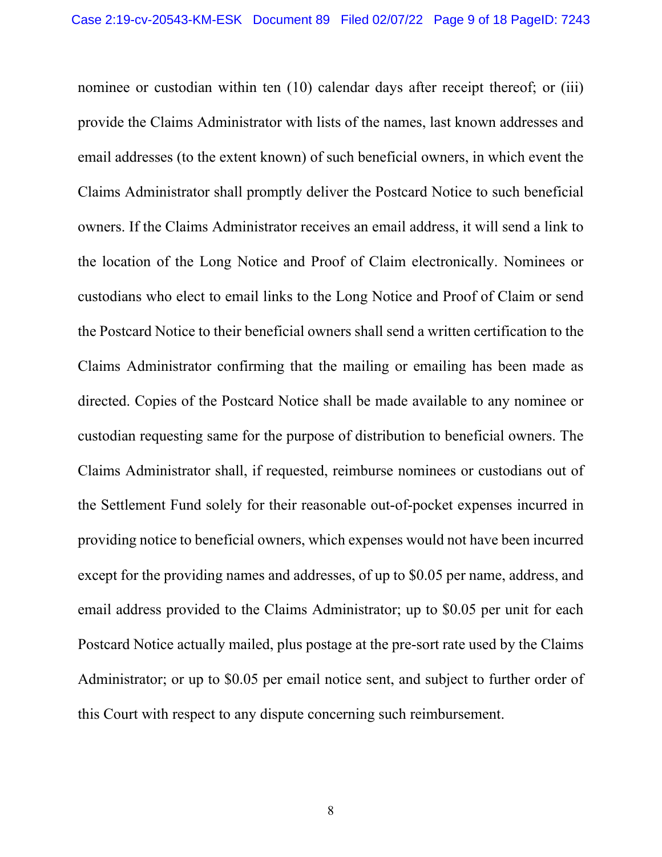nominee or custodian within ten (10) calendar days after receipt thereof; or (iii) provide the Claims Administrator with lists of the names, last known addresses and email addresses (to the extent known) of such beneficial owners, in which event the Claims Administrator shall promptly deliver the Postcard Notice to such beneficial owners. If the Claims Administrator receives an email address, it will send a link to the location of the Long Notice and Proof of Claim electronically. Nominees or custodians who elect to email links to the Long Notice and Proof of Claim or send the Postcard Notice to their beneficial owners shall send a written certification to the Claims Administrator confirming that the mailing or emailing has been made as directed. Copies of the Postcard Notice shall be made available to any nominee or custodian requesting same for the purpose of distribution to beneficial owners. The Claims Administrator shall, if requested, reimburse nominees or custodians out of the Settlement Fund solely for their reasonable out-of-pocket expenses incurred in providing notice to beneficial owners, which expenses would not have been incurred except for the providing names and addresses, of up to \$0.05 per name, address, and email address provided to the Claims Administrator; up to \$0.05 per unit for each Postcard Notice actually mailed, plus postage at the pre-sort rate used by the Claims Administrator; or up to \$0.05 per email notice sent, and subject to further order of this Court with respect to any dispute concerning such reimbursement.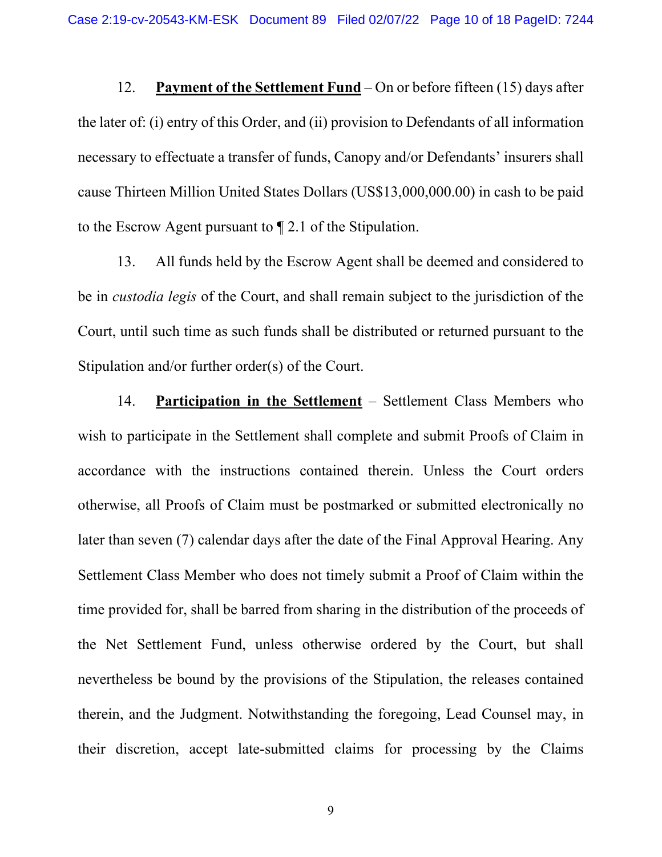12. **Payment of the Settlement Fund** – On or before fifteen (15) days after the later of: (i) entry of this Order, and (ii) provision to Defendants of all information necessary to effectuate a transfer of funds, Canopy and/or Defendants' insurers shall cause Thirteen Million United States Dollars (US\$13,000,000.00) in cash to be paid to the Escrow Agent pursuant to ¶ 2.1 of the Stipulation.

13. All funds held by the Escrow Agent shall be deemed and considered to be in *custodia legis* of the Court, and shall remain subject to the jurisdiction of the Court, until such time as such funds shall be distributed or returned pursuant to the Stipulation and/or further order(s) of the Court.

14. **Participation in the Settlement** – Settlement Class Members who wish to participate in the Settlement shall complete and submit Proofs of Claim in accordance with the instructions contained therein. Unless the Court orders otherwise, all Proofs of Claim must be postmarked or submitted electronically no later than seven (7) calendar days after the date of the Final Approval Hearing. Any Settlement Class Member who does not timely submit a Proof of Claim within the time provided for, shall be barred from sharing in the distribution of the proceeds of the Net Settlement Fund, unless otherwise ordered by the Court, but shall nevertheless be bound by the provisions of the Stipulation, the releases contained therein, and the Judgment. Notwithstanding the foregoing, Lead Counsel may, in their discretion, accept late-submitted claims for processing by the Claims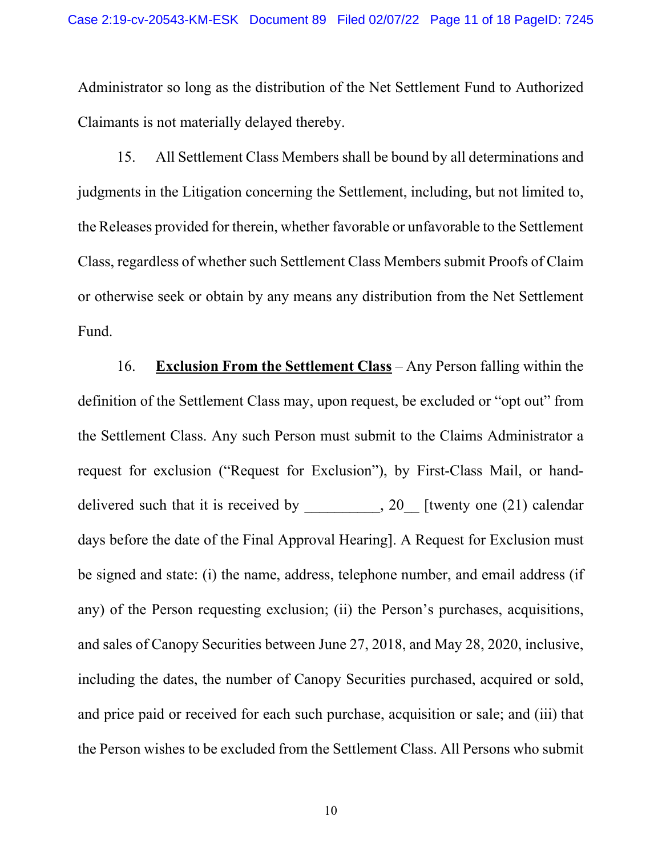Administrator so long as the distribution of the Net Settlement Fund to Authorized Claimants is not materially delayed thereby.

15. All Settlement Class Members shall be bound by all determinations and judgments in the Litigation concerning the Settlement, including, but not limited to, the Releases provided for therein, whether favorable or unfavorable to the Settlement Class, regardless of whether such Settlement Class Members submit Proofs of Claim or otherwise seek or obtain by any means any distribution from the Net Settlement Fund.

16. **Exclusion From the Settlement Class** – Any Person falling within the definition of the Settlement Class may, upon request, be excluded or "opt out" from the Settlement Class. Any such Person must submit to the Claims Administrator a request for exclusion ("Request for Exclusion"), by First-Class Mail, or handdelivered such that it is received by \_\_\_\_\_\_\_, 20\_ [twenty one (21) calendar days before the date of the Final Approval Hearing]. A Request for Exclusion must be signed and state: (i) the name, address, telephone number, and email address (if any) of the Person requesting exclusion; (ii) the Person's purchases, acquisitions, and sales of Canopy Securities between June 27, 2018, and May 28, 2020, inclusive, including the dates, the number of Canopy Securities purchased, acquired or sold, and price paid or received for each such purchase, acquisition or sale; and (iii) that the Person wishes to be excluded from the Settlement Class. All Persons who submit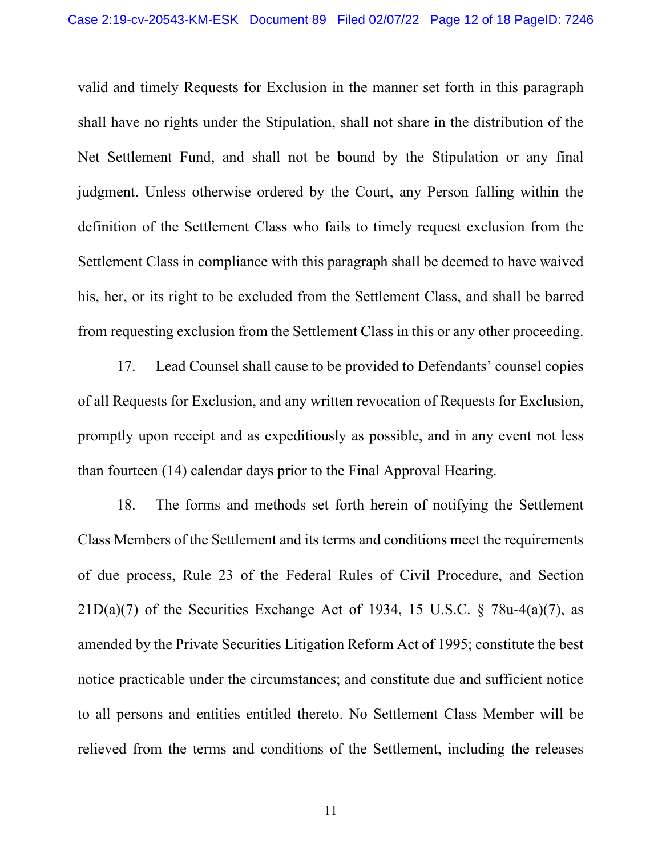valid and timely Requests for Exclusion in the manner set forth in this paragraph shall have no rights under the Stipulation, shall not share in the distribution of the Net Settlement Fund, and shall not be bound by the Stipulation or any final judgment. Unless otherwise ordered by the Court, any Person falling within the definition of the Settlement Class who fails to timely request exclusion from the Settlement Class in compliance with this paragraph shall be deemed to have waived his, her, or its right to be excluded from the Settlement Class, and shall be barred from requesting exclusion from the Settlement Class in this or any other proceeding.

17. Lead Counsel shall cause to be provided to Defendants' counsel copies of all Requests for Exclusion, and any written revocation of Requests for Exclusion, promptly upon receipt and as expeditiously as possible, and in any event not less than fourteen (14) calendar days prior to the Final Approval Hearing.

18. The forms and methods set forth herein of notifying the Settlement Class Members of the Settlement and its terms and conditions meet the requirements of due process, Rule 23 of the Federal Rules of Civil Procedure, and Section  $21D(a)(7)$  of the Securities Exchange Act of 1934, 15 U.S.C. § 78u-4(a)(7), as amended by the Private Securities Litigation Reform Act of 1995; constitute the best notice practicable under the circumstances; and constitute due and sufficient notice to all persons and entities entitled thereto. No Settlement Class Member will be relieved from the terms and conditions of the Settlement, including the releases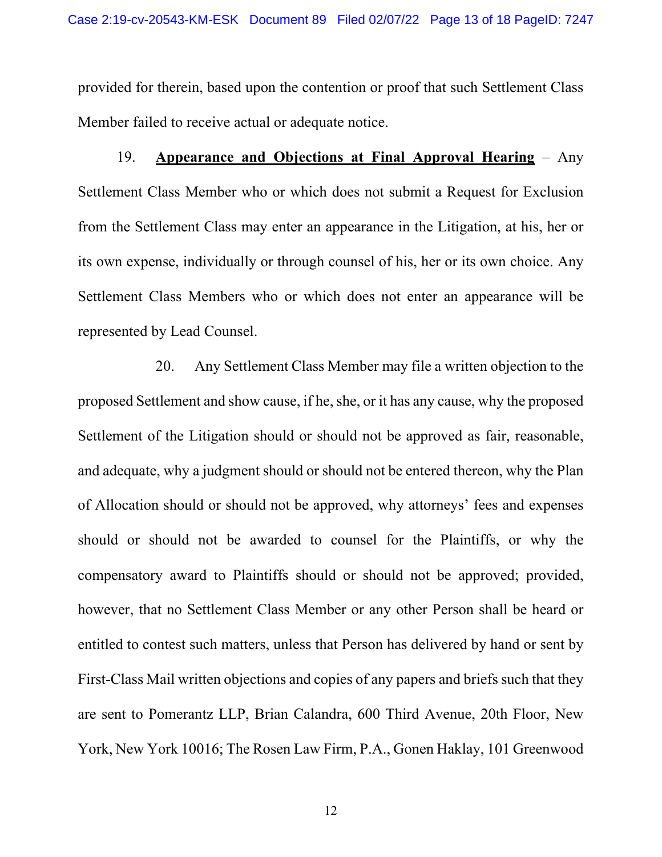provided for therein, based upon the contention or proof that such Settlement Class Member failed to receive actual or adequate notice.

19. **Appearance and Objections at Final Approval Hearing** – Any Settlement Class Member who or which does not submit a Request for Exclusion from the Settlement Class may enter an appearance in the Litigation, at his, her or its own expense, individually or through counsel of his, her or its own choice. Any Settlement Class Members who or which does not enter an appearance will be represented by Lead Counsel.

20. Any Settlement Class Member may file a written objection to the proposed Settlement and show cause, if he, she, or it has any cause, why the proposed Settlement of the Litigation should or should not be approved as fair, reasonable, and adequate, why a judgment should or should not be entered thereon, why the Plan of Allocation should or should not be approved, why attorneys' fees and expenses should or should not be awarded to counsel for the Plaintiffs, or why the compensatory award to Plaintiffs should or should not be approved; provided, however, that no Settlement Class Member or any other Person shall be heard or entitled to contest such matters, unless that Person has delivered by hand or sent by First-Class Mail written objections and copies of any papers and briefs such that they are sent to Pomerantz LLP, Brian Calandra, 600 Third Avenue, 20th Floor, New York, New York 10016; The Rosen Law Firm, P.A., Gonen Haklay, 101 Greenwood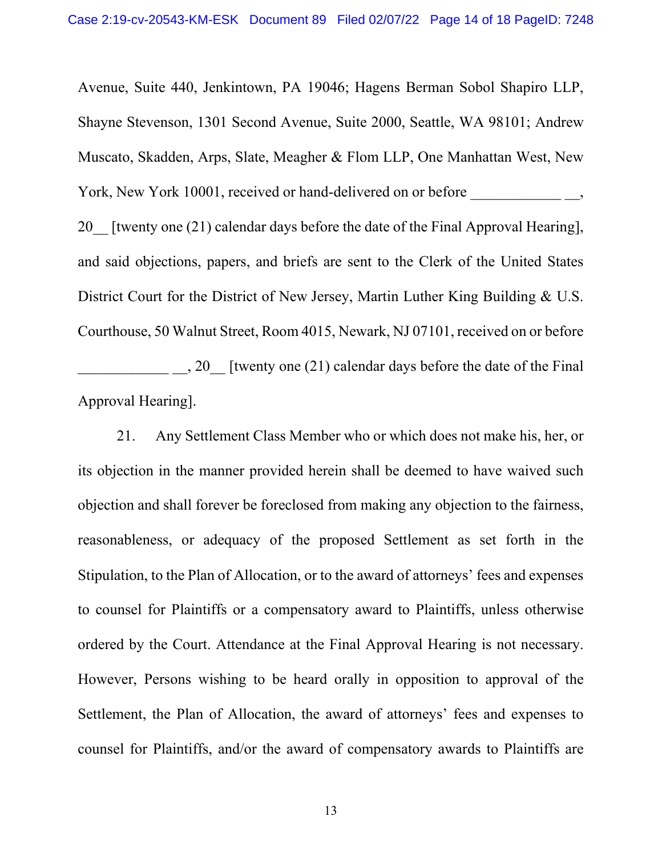Avenue, Suite 440, Jenkintown, PA 19046; Hagens Berman Sobol Shapiro LLP, Shayne Stevenson, 1301 Second Avenue, Suite 2000, Seattle, WA 98101; Andrew Muscato, Skadden, Arps, Slate, Meagher & Flom LLP, One Manhattan West, New York, New York 10001, received or hand-delivered on or before  $\qquad \qquad$ ,

20 [twenty one (21) calendar days before the date of the Final Approval Hearing], and said objections, papers, and briefs are sent to the Clerk of the United States District Court for the District of New Jersey, Martin Luther King Building & U.S. Courthouse, 50 Walnut Street, Room 4015, Newark, NJ 07101, received on or before \_\_\_\_\_\_\_\_\_\_\_\_ \_\_, 20\_\_ [twenty one (21) calendar days before the date of the Final

Approval Hearing].

21. Any Settlement Class Member who or which does not make his, her, or its objection in the manner provided herein shall be deemed to have waived such objection and shall forever be foreclosed from making any objection to the fairness, reasonableness, or adequacy of the proposed Settlement as set forth in the Stipulation, to the Plan of Allocation, or to the award of attorneys' fees and expenses to counsel for Plaintiffs or a compensatory award to Plaintiffs, unless otherwise ordered by the Court. Attendance at the Final Approval Hearing is not necessary. However, Persons wishing to be heard orally in opposition to approval of the Settlement, the Plan of Allocation, the award of attorneys' fees and expenses to counsel for Plaintiffs, and/or the award of compensatory awards to Plaintiffs are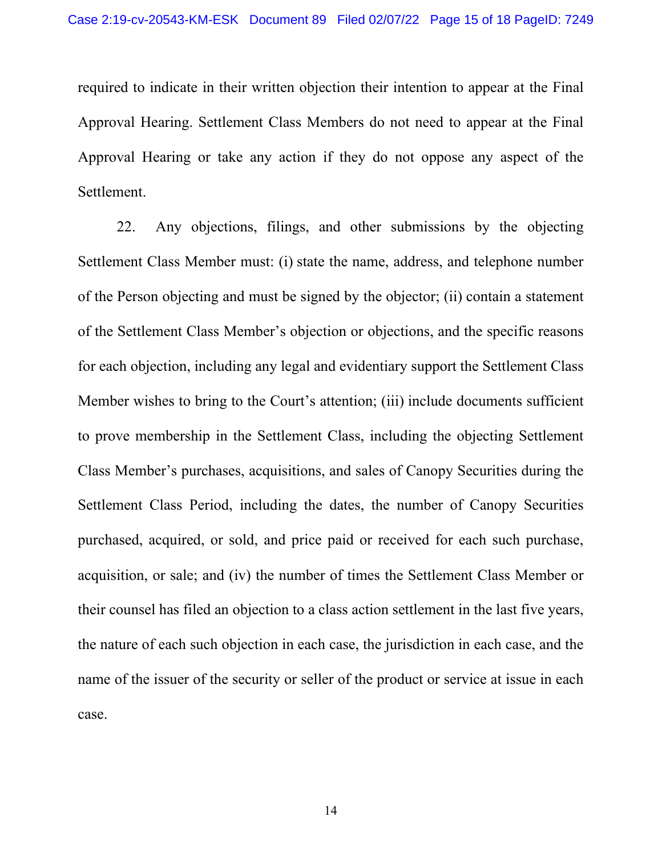required to indicate in their written objection their intention to appear at the Final Approval Hearing. Settlement Class Members do not need to appear at the Final Approval Hearing or take any action if they do not oppose any aspect of the Settlement.

22. Any objections, filings, and other submissions by the objecting Settlement Class Member must: (i) state the name, address, and telephone number of the Person objecting and must be signed by the objector; (ii) contain a statement of the Settlement Class Member's objection or objections, and the specific reasons for each objection, including any legal and evidentiary support the Settlement Class Member wishes to bring to the Court's attention; (iii) include documents sufficient to prove membership in the Settlement Class, including the objecting Settlement Class Member's purchases, acquisitions, and sales of Canopy Securities during the Settlement Class Period, including the dates, the number of Canopy Securities purchased, acquired, or sold, and price paid or received for each such purchase, acquisition, or sale; and (iv) the number of times the Settlement Class Member or their counsel has filed an objection to a class action settlement in the last five years, the nature of each such objection in each case, the jurisdiction in each case, and the name of the issuer of the security or seller of the product or service at issue in each case.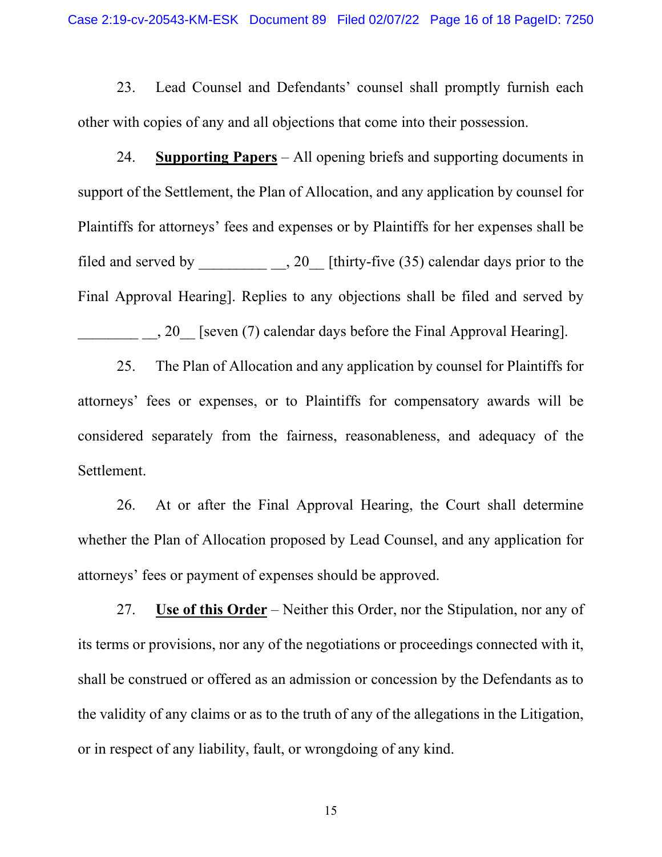23. Lead Counsel and Defendants' counsel shall promptly furnish each other with copies of any and all objections that come into their possession.

24. **Supporting Papers** – All opening briefs and supporting documents in support of the Settlement, the Plan of Allocation, and any application by counsel for Plaintiffs for attorneys' fees and expenses or by Plaintiffs for her expenses shall be filed and served by \_\_\_\_\_\_\_\_\_\_\_\_, 20\_\_ [thirty-five  $(35)$  calendar days prior to the Final Approval Hearing]. Replies to any objections shall be filed and served by \_\_\_\_\_\_\_\_ \_\_, 20\_\_ [seven (7) calendar days before the Final Approval Hearing].

25. The Plan of Allocation and any application by counsel for Plaintiffs for attorneys' fees or expenses, or to Plaintiffs for compensatory awards will be considered separately from the fairness, reasonableness, and adequacy of the Settlement.

26. At or after the Final Approval Hearing, the Court shall determine whether the Plan of Allocation proposed by Lead Counsel, and any application for attorneys' fees or payment of expenses should be approved.

27. **Use of this Order** – Neither this Order, nor the Stipulation, nor any of its terms or provisions, nor any of the negotiations or proceedings connected with it, shall be construed or offered as an admission or concession by the Defendants as to the validity of any claims or as to the truth of any of the allegations in the Litigation, or in respect of any liability, fault, or wrongdoing of any kind.

15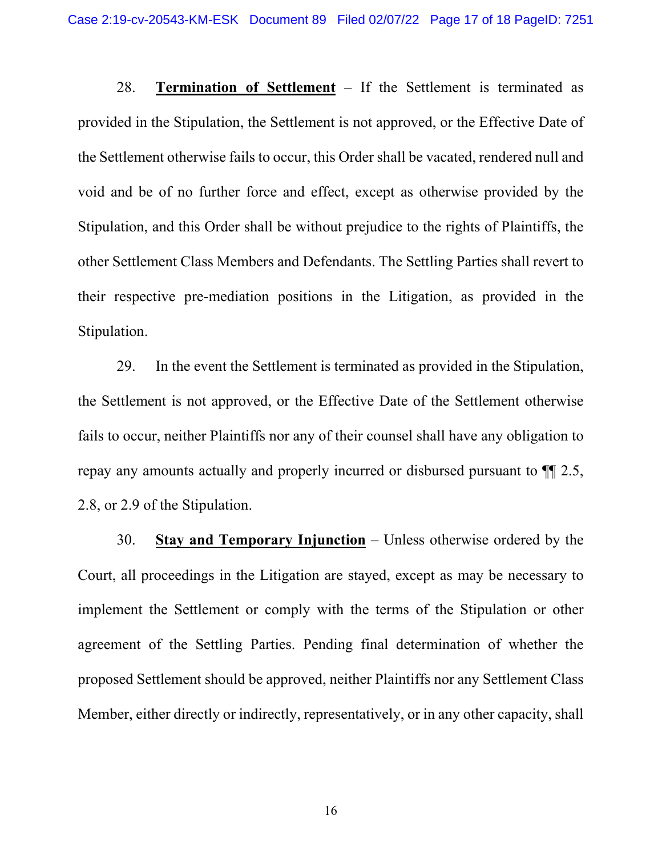28. **Termination of Settlement** – If the Settlement is terminated as provided in the Stipulation, the Settlement is not approved, or the Effective Date of the Settlement otherwise fails to occur, this Order shall be vacated, rendered null and void and be of no further force and effect, except as otherwise provided by the Stipulation, and this Order shall be without prejudice to the rights of Plaintiffs, the other Settlement Class Members and Defendants. The Settling Parties shall revert to their respective pre-mediation positions in the Litigation, as provided in the Stipulation.

29. In the event the Settlement is terminated as provided in the Stipulation, the Settlement is not approved, or the Effective Date of the Settlement otherwise fails to occur, neither Plaintiffs nor any of their counsel shall have any obligation to repay any amounts actually and properly incurred or disbursed pursuant to ¶¶ 2.5, 2.8, or 2.9 of the Stipulation.

30. **Stay and Temporary Injunction** – Unless otherwise ordered by the Court, all proceedings in the Litigation are stayed, except as may be necessary to implement the Settlement or comply with the terms of the Stipulation or other agreement of the Settling Parties. Pending final determination of whether the proposed Settlement should be approved, neither Plaintiffs nor any Settlement Class Member, either directly or indirectly, representatively, or in any other capacity, shall